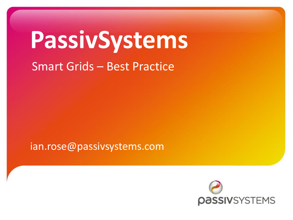# **PassivSystems**

Smart Grids – Best Practice

ian.rose@passivsystems.com

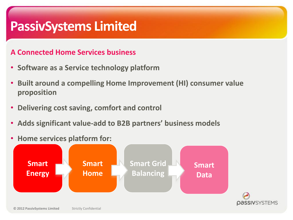### **PassivSystems Limited**

#### **A Connected Home Services business**

- **Software as a Service technology platform**
- **Built around a compelling Home Improvement (HI) consumer value proposition**
- **Delivering cost saving, comfort and control**
- **Adds significant value-add to B2B partners' business models**
- **Home services platform for:**

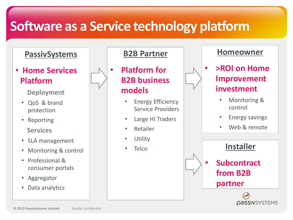# **Software as a Service technology platform**

#### **PassivSystems**

• **Home Services Platform**

**Deployment**

- QoS & brand protection
- Reporting **Services**
- SLA management
- Monitoring & control
- Professional & consumer portals
- Aggregator
- Data analytics

#### **B2B Partner**

• **Platform for B2B business models**

- **Energy Efficiency** Service Providers
- Large HI Traders
- Retailer
- **Utility**
- **Telco**



#### **Homeowner**

- **>ROI on Home Improvement investment**
	- Monitoring & control
	- Energy savings
	- Web & remote



*<u>DASSIVSYSTEMS</u>*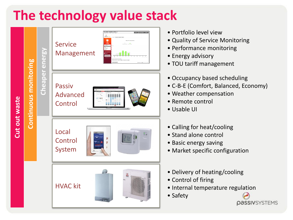# **The technology value stack**



**© 2012 PassivSystems Limited** Strictly Confidential

- Portfolio level view
- Quality of Service Monitoring
- Performance monitoring
- Energy advisory
- TOU tariff management
- Occupancy based scheduling
- C-B-E (Comfort, Balanced, Economy)
- Weather compensation
- Remote control
- Usable UI
- Calling for heat/cooling
- Stand alone control
- Basic energy saving
- Market specific configuration
- Delivery of heating/cooling
- Control of firing
- Internal temperature regulation

**PASSIVSYSTEMS** 

• Safety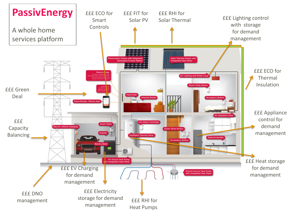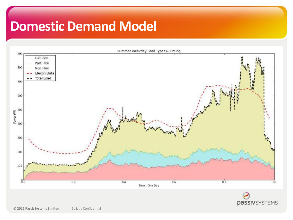### **Domestic Demand Model**

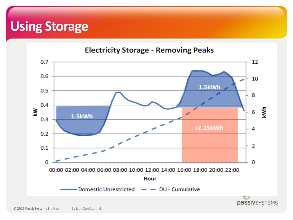# **Using Storage**

#### **Electricity Storage - Removing Peaks**

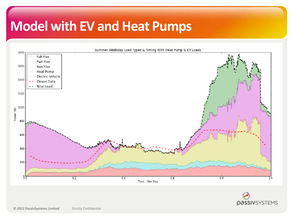# **Model with EV and Heat Pumps**



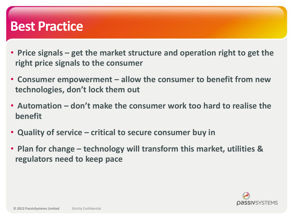#### **Best Practice**

- **Price signals – get the market structure and operation right to get the right price signals to the consumer**
- **Consumer empowerment – allow the consumer to benefit from new technologies, don't lock them out**
- **Automation – don't make the consumer work too hard to realise the benefit**
- **Quality of service – critical to secure consumer buy in**
- **Plan for change – technology will transform this market, utilities & regulators need to keep pace**